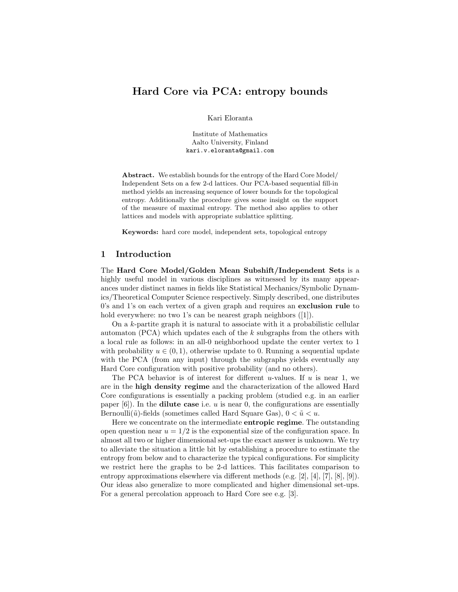# Hard Core via PCA: entropy bounds

Kari Eloranta

Institute of Mathematics Aalto University, Finland kari.v.eloranta@gmail.com

Abstract. We establish bounds for the entropy of the Hard Core Model/ Independent Sets on a few 2-d lattices. Our PCA-based sequential fill-in method yields an increasing sequence of lower bounds for the topological entropy. Additionally the procedure gives some insight on the support of the measure of maximal entropy. The method also applies to other lattices and models with appropriate sublattice splitting.

Keywords: hard core model, independent sets, topological entropy

## 1 Introduction

The Hard Core Model/Golden Mean Subshift/Independent Sets is a highly useful model in various disciplines as witnessed by its many appearances under distinct names in fields like Statistical Mechanics/Symbolic Dynamics/Theoretical Computer Science respectively. Simply described, one distributes 0's and 1's on each vertex of a given graph and requires an exclusion rule to hold everywhere: no two 1's can be nearest graph neighbors ([1]).

On a  $k$ -partite graph it is natural to associate with it a probabilistic cellular automaton  $(PCA)$  which updates each of the k subgraphs from the others with a local rule as follows: in an all-0 neighborhood update the center vertex to 1 with probability  $u \in (0, 1)$ , otherwise update to 0. Running a sequential update with the PCA (from any input) through the subgraphs yields eventually any Hard Core configuration with positive probability (and no others).

The PCA behavior is of interest for different u-values. If  $u$  is near 1, we are in the high density regime and the characterization of the allowed Hard Core configurations is essentially a packing problem (studied e.g. in an earlier paper  $[6]$ ). In the **dilute case** i.e. u is near 0, the configurations are essentially Bernoulli( $\tilde{u}$ )-fields (sometimes called Hard Square Gas),  $0 < \tilde{u} < u$ .

Here we concentrate on the intermediate entropic regime. The outstanding open question near  $u = 1/2$  is the exponential size of the configuration space. In almost all two or higher dimensional set-ups the exact answer is unknown. We try to alleviate the situation a little bit by establishing a procedure to estimate the entropy from below and to characterize the typical configurations. For simplicity we restrict here the graphs to be 2-d lattices. This facilitates comparison to entropy approximations elsewhere via different methods (e.g. [2], [4], [7], [8], [9]). Our ideas also generalize to more complicated and higher dimensional set-ups. For a general percolation approach to Hard Core see e.g. [3].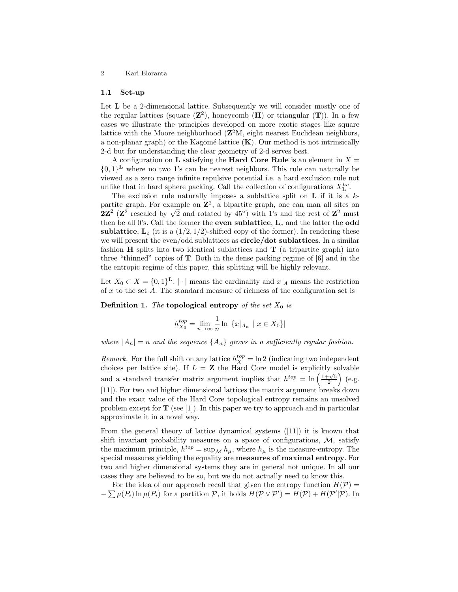#### 1.1 Set-up

Let **L** be a 2-dimensional lattice. Subsequently we will consider mostly one of the regular lattices (square  $(\mathbb{Z}^2)$ , honeycomb  $(\mathbf{H})$  or triangular  $(\mathbf{T})$ ). In a few cases we illustrate the principles developed on more exotic stages like square lattice with the Moore neighborhood  $(Z^2M,$  eight nearest Euclidean neighbors, a non-planar graph) or the Kagomé lattice  $(K)$ . Our method is not intrinsically 2-d but for understanding the clear geometry of 2-d serves best.

A configuration on **L** satisfying the **Hard Core Rule** is an element in  $X =$  ${0,1}^L$  where no two 1's can be nearest neighbors. This rule can naturally be viewed as a zero range infinite repulsive potential i.e. a hard exclusion rule not unlike that in hard sphere packing. Call the collection of configurations  $X_L^{hc}$ .

The exclusion rule naturally imposes a sublattice split on  $L$  if it is a  $k$ partite graph. For example on  $\mathbb{Z}^2$ , a bipartite graph, one can man all sites on 2 $\mathbb{Z}^2$  ( $\mathbb{Z}^2$  rescaled by  $\sqrt{2}$  and rotated by 45°) with 1's and the rest of  $\mathbb{Z}^2$  must then be all 0's. Call the former the **even sublattice**,  $L_e$  and the latter the **odd** sublattice,  $\mathbf{L}_{o}$  (it is a  $(1/2, 1/2)$ -shifted copy of the former). In rendering these we will present the even/odd sublattices as **circle/dot sublattices**. In a similar fashion  $H$  splits into two identical sublattices and  $T$  (a tripartite graph) into three "thinned" copies of T. Both in the dense packing regime of [6] and in the the entropic regime of this paper, this splitting will be highly relevant.

Let  $X_0 \subset X = \{0,1\}^{\mathbf{L}}$ . |  $\cdot$  | means the cardinality and  $x|_A$  means the restriction of  $x$  to the set  $A$ . The standard measure of richness of the configuration set is

**Definition 1.** The topological entropy of the set  $X_0$  is

$$
h_{X_0}^{top} = \lim_{n \to \infty} \frac{1}{n} \ln |\{x|_{A_n} \mid x \in X_0\}|
$$

where  $|A_n| = n$  and the sequence  $\{A_n\}$  grows in a sufficiently regular fashion.

*Remark*. For the full shift on any lattice  $h_X^{top} = \ln 2$  (indicating two independent choices per lattice site). If  $L = \mathbf{Z}$  the Hard Core model is explicitly solvable and a standard transfer matrix argument implies that  $h^{top} = \ln\left(\frac{1+\sqrt{5}}{2}\right)$  (e.g. [11]). For two and higher dimensional lattices the matrix argument breaks down and the exact value of the Hard Core topological entropy remains an unsolved problem except for  $\mathbf T$  (see [1]). In this paper we try to approach and in particular approximate it in a novel way.

From the general theory of lattice dynamical systems ([11]) it is known that shift invariant probability measures on a space of configurations, M, satisfy the maximum principle,  $h^{top} = \sup_{\mathcal{M}} h_{\mu}$ , where  $h_{\mu}$  is the measure-entropy. The special measures yielding the equality are measures of maximal entropy. For two and higher dimensional systems they are in general not unique. In all our cases they are believed to be so, but we do not actually need to know this.

For the idea of our approach recall that given the entropy function  $H(\mathcal{P}) =$  $-\sum \mu(P_i) \ln \mu(P_i)$  for a partition  $P$ , it holds  $H(\mathcal{P} \vee \mathcal{P}') = H(\mathcal{P}) + H(\mathcal{P}'|\mathcal{P})$ . In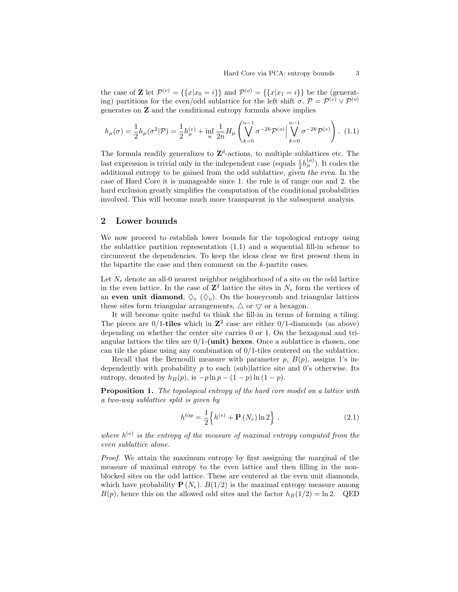the case of **Z** let  $\mathcal{P}^{(e)} = \{\{x | x_0 = i\}\}\$  and  $\mathcal{P}^{(o)} = \{\{x | x_1 = i\}\}\$  be the (generating) partitions for the even/odd sublattice for the left shift  $\sigma$ .  $\mathcal{P} = \mathcal{P}^{(e)} \vee \mathcal{P}^{(o)}$ generates on Z and the conditional entropy formula above implies

$$
h_{\mu}(\sigma) = \frac{1}{2} h_{\mu}(\sigma^2 | \mathcal{P}) = \frac{1}{2} h_{\mu}^{(e)} + \inf_{n} \frac{1}{2n} H_{\mu} \left( \bigvee_{k=0}^{n-1} \sigma^{-2k} \mathcal{P}^{(o)} \Big| \bigvee_{k=0}^{n-1} \sigma^{-2k} \mathcal{P}^{(e)} \right). (1.1)
$$

The formula readily generalizes to  $\mathbb{Z}^d$ -actions, to multiple sublattices etc. The last expression is trivial only in the independent case (equals  $\frac{1}{2}h_{\mu}^{(o)}$ ). It codes the additional entropy to be gained from the odd sublattice, given the even. In the case of Hard Core it is manageable since 1. the rule is of range one and 2. the hard exclusion greatly simplifies the computation of the conditional probabilities involved. This will become much more transparent in the subsequent analysis.

## 2 Lower bounds

We now proceed to establish lower bounds for the topological entropy using the sublattice partition representation (1.1) and a sequential fill-in scheme to circumvent the dependencies. To keep the ideas clear we first present them in the bipartite the case and then comment on the k-partite cases.

Let  $N_e$  denote an all-0 nearest neighbor neighborhood of a site on the odd lattice in the even lattice. In the case of  $\mathbb{Z}^2$  lattice the sites in  $N_e$  form the vertices of an even unit diamond,  $\Diamond_e$  ( $\Diamond_o$ ). On the honeycomb and triangular lattices these sites form triangular arrangements,  $\Delta$  or  $\nabla$  or a hexagon.

It will become quite useful to think the fill-in in terms of forming a tiling. The pieces are  $0/1$ -tiles which in  $\mathbb{Z}^2$  case are either  $0/1$ -diamonds (as above) depending on whether the center site carries 0 or 1. On the hexagonal and triangular lattices the tiles are  $0/1$ -(unit) hexes. Once a sublattice is chosen, one can tile the plane using any combination of 0/1-tiles centered on the sublattice.

Recall that the Bernoulli measure with parameter  $p, B(p)$ , assigns 1's independently with probability  $p$  to each (sub)lattice site and 0's otherwise. Its entropy, denoted by  $h_B(p)$ , is  $-p \ln p - (1-p) \ln (1-p)$ .

Proposition 1. The topological entropy of the hard core model on a lattice with a two-way sublattice split is given by

$$
h^{top} = \frac{1}{2} \left\{ h^{(e)} + \mathbf{P}(N_e) \ln 2 \right\},
$$
\n(2.1)

where  $h^{(e)}$  is the entropy of the measure of maximal entropy computed from the even sublattice alone.

Proof. We attain the maximum entropy by first assigning the marginal of the measure of maximal entropy to the even lattice and then filling in the nonblocked sites on the odd lattice. These are centered at the even unit diamonds, which have probability  $P(N_e)$ .  $B(1/2)$  is the maximal entropy measure among  $B(p)$ , hence this on the allowed odd sites and the factor  $h_B(1/2) = \ln 2$ . QED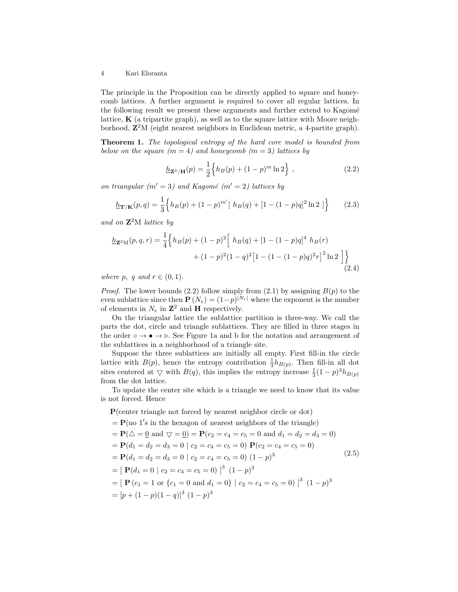The principle in the Proposition can be directly applied to square and honeycomb lattices. A further argument is required to cover all regular lattices. In the following result we present these arguments and further extend to Kagomé lattice,  $\bf{K}$  (a tripartite graph), as well as to the square lattice with Moore neighborhood,  $\mathbb{Z}^2M$  (eight nearest neighbors in Euclidean metric, a 4-partite graph).

Theorem 1. The topological entropy of the hard core model is bounded from below on the square  $(m = 4)$  and honeycomb  $(m = 3)$  lattices by

$$
\underline{h}_{\mathbf{Z}^2/\mathbf{H}}(p) = \frac{1}{2} \Big\{ h_B(p) + (1-p)^m \ln 2 \Big\} , \qquad (2.2)
$$

on triangular ( $m' = 3$ ) and Kagomé ( $m' = 2$ ) lattices by

$$
\underline{h}_{\mathbf{T}/\mathbf{K}}(p,q) = \frac{1}{3} \Big\{ h_B(p) + (1-p)^{m'} \big[ h_B(q) + [1 - (1-p)q]^2 \ln 2 \big] \Big\} \tag{2.3}
$$

and on  $\mathbb{Z}^2M$  lattice by

$$
\underline{h}_{\mathbf{Z}^2 M}(p,q,r) = \frac{1}{4} \Big\{ h_B(p) + (1-p)^2 \Big[ h_B(q) + [1 - (1-p)q]^4 h_B(r) + (1-p)^2 (1-q)^2 [1 - (1 - (1-p)q)^2 r]^2 \ln 2 \Big] \Big\}
$$
\n(2.4)

where p, q and  $r \in (0, 1)$ .

*Proof.* The lower bounds (2.2) follow simply from (2.1) by assigning  $B(p)$  to the even sublattice since then  $\mathbf{P}(N_e) = (1-p)^{|N_e|}$  where the exponent is the number of elements in  $N_e$  in  $\mathbb{Z}^2$  and **H** respectively.

On the triangular lattice the sublattice partition is three-way. We call the parts the dot, circle and triangle sublattices. They are filled in three stages in the order ∘ → • → ⊳. See Figure 1a and b for the notation and arrangement of the sublattices in a neighborhood of a triangle site.

Suppose the three sublattices are initially all empty. First fill-in the circle lattice with  $B(p)$ , hence the entropy contribution  $\frac{1}{3}h_{B(p)}$ . Then fill-in all dot sites centered at  $\bigtriangledown$  with  $B(q)$ , this implies the entropy increase  $\frac{1}{3}(1-p)^3 h_{B(p)}$ from the dot lattice.

To update the center site which is a triangle we need to know that its value is not forced. Hence

P(center triangle not forced by nearest neighbor circle or dot)

= 
$$
\mathbf{P}(\text{no 1's in the hexagon of nearest neighbors of the triangle})
$$
  
\n=  $\mathbf{P}(\triangle = 0 \text{ and } \nabla = 0) = \mathbf{P}(c_2 = c_4 = c_5 = 0 \text{ and } d_1 = d_2 = d_3 = 0)$   
\n=  $\mathbf{P}(d_1 = d_2 = d_3 = 0 \mid c_2 = c_4 = c_5 = 0) \mathbf{P}(c_2 = c_4 = c_5 = 0)$   
\n=  $\mathbf{P}(d_1 = d_2 = d_3 = 0 \mid c_2 = c_4 = c_5 = 0) (1 - p)^3$   
\n=  $[\mathbf{P}(d_1 = 0 \mid c_2 = c_4 = c_5 = 0)]^3 (1 - p)^3$   
\n=  $[\mathbf{P}(c_1 = 1 \text{ or } \{c_1 = 0 \text{ and } d_1 = 0\} \mid c_2 = c_4 = c_5 = 0)]^3 (1 - p)^3$   
\n=  $[p + (1 - p)(1 - q)]^3 (1 - p)^3$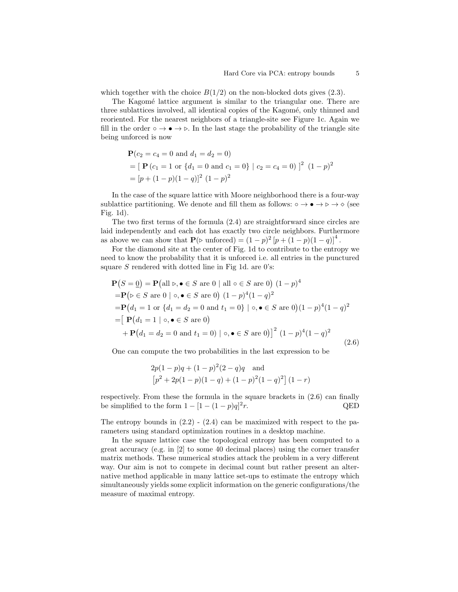which together with the choice  $B(1/2)$  on the non-blocked dots gives  $(2.3)$ .

The Kagomé lattice argument is similar to the triangular one. There are three sublattices involved, all identical copies of the Kagomé, only thinned and reoriented. For the nearest neighbors of a triangle-site see Figure 1c. Again we fill in the order ∘  $\rightarrow \bullet \rightarrow \bullet$ . In the last stage the probability of the triangle site being unforced is now

$$
\mathbf{P}(c_2 = c_4 = 0 \text{ and } d_1 = d_2 = 0)
$$
  
=  $[\mathbf{P}(c_1 = 1 \text{ or } \{d_1 = 0 \text{ and } c_1 = 0\} | c_2 = c_4 = 0)]^2 (1 - p)^2$   
=  $[p + (1 - p)(1 - q)]^2 (1 - p)^2$ 

In the case of the square lattice with Moore neighborhood there is a four-way sublattice partitioning. We denote and fill them as follows:  $\circ \rightarrow \bullet \rightarrow \diamond \rightarrow \diamond$  (see Fig. 1d).

The two first terms of the formula (2.4) are straightforward since circles are laid independently and each dot has exactly two circle neighbors. Furthermore as above we can show that  $\mathbf{P}(\triangleright \text{unforced}) = (1-p)^2 [p + (1-p)(1-q)]^4$ .

For the diamond site at the center of Fig. 1d to contribute to the entropy we need to know the probability that it is unforced i.e. all entries in the punctured square  $S$  rendered with dotted line in Fig 1d. are 0's:

$$
\mathbf{P}(S = \underline{0}) = \mathbf{P}(\text{all } \triangleright, \bullet \in S \text{ are } 0 \mid \text{all } \circ \in S \text{ are } 0) (1 - p)^{4}
$$
  
\n
$$
= \mathbf{P}(\triangleright \in S \text{ are } 0 \mid \circ, \bullet \in S \text{ are } 0) (1 - p)^{4} (1 - q)^{2}
$$
  
\n
$$
= \mathbf{P}(d_{1} = 1 \text{ or } \{d_{1} = d_{2} = 0 \text{ and } t_{1} = 0\} \mid \circ, \bullet \in S \text{ are } 0) (1 - p)^{4} (1 - q)^{2}
$$
  
\n
$$
= [\mathbf{P}(d_{1} = 1 \mid \circ, \bullet \in S \text{ are } 0) + \mathbf{P}(d_{1} = d_{2} = 0 \text{ and } t_{1} = 0) \mid \circ, \bullet \in S \text{ are } 0)]^{2} (1 - p)^{4} (1 - q)^{2}
$$
  
\n(2.6)

One can compute the two probabilities in the last expression to be

$$
2p(1-p)q + (1-p)^{2}(2-q)q
$$
 and  
\n
$$
[p^{2} + 2p(1-p)(1-q) + (1-p)^{2}(1-q)^{2}] (1-r)
$$

respectively. From these the formula in the square brackets in (2.6) can finally be simplified to the form  $1 - [1 - (1 - p)q]^2$ r. QED

The entropy bounds in  $(2.2)$  -  $(2.4)$  can be maximized with respect to the parameters using standard optimization routines in a desktop machine.

In the square lattice case the topological entropy has been computed to a great accuracy (e.g. in [2] to some 40 decimal places) using the corner transfer matrix methods. These numerical studies attack the problem in a very different way. Our aim is not to compete in decimal count but rather present an alternative method applicable in many lattice set-ups to estimate the entropy which simultaneously yields some explicit information on the generic configurations/the measure of maximal entropy.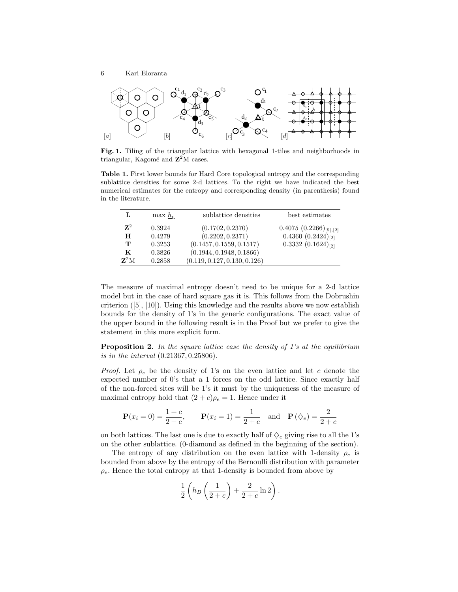

Fig. 1. Tiling of the triangular lattice with hexagonal 1-tiles and neighborhoods in triangular, Kagomé and  $\mathbb{Z}^2$ M cases.

Table 1. First lower bounds for Hard Core topological entropy and the corresponding sublattice densities for some 2-d lattices. To the right we have indicated the best numerical estimates for the entropy and corresponding density (in parenthesis) found in the literature.

| L                        | $\max h_{\mathbf{r}}$ | sublattice densities         | best estimates             |
|--------------------------|-----------------------|------------------------------|----------------------------|
| ${\bf Z}^2$              | 0.3924                | (0.1702, 0.2370)             | $0.4075(0.2266)_{[9],[2]}$ |
| н                        | 0.4279                | (0.2202, 0.2371)             | $0.4360(0.2424)_{[2]}$     |
| т                        | 0.3253                | (0.1457, 0.1559, 0.1517)     | $0.3332(0.1624)_{[2]}$     |
| K                        | 0.3826                | (0.1944, 0.1948, 0.1866)     |                            |
| $\mathbf{Z}^2\mathrm{M}$ | 0.2858                | (0.119, 0.127, 0.130, 0.126) |                            |

The measure of maximal entropy doesn't need to be unique for a 2-d lattice model but in the case of hard square gas it is. This follows from the Dobrushin criterion  $([5], [10])$ . Using this knowledge and the results above we now establish bounds for the density of 1's in the generic configurations. The exact value of the upper bound in the following result is in the Proof but we prefer to give the statement in this more explicit form.

**Proposition 2.** In the square lattice case the density of 1's at the equilibrium is in the interval (0.21367, 0.25806).

*Proof.* Let  $\rho_e$  be the density of 1's on the even lattice and let c denote the expected number of 0's that a 1 forces on the odd lattice. Since exactly half of the non-forced sites will be 1's it must by the uniqueness of the measure of maximal entropy hold that  $(2 + c)\rho_e = 1$ . Hence under it

$$
\mathbf{P}(x_i = 0) = \frac{1+c}{2+c}, \qquad \mathbf{P}(x_i = 1) = \frac{1}{2+c} \quad \text{and} \quad \mathbf{P}(\diamondsuit_e) = \frac{2}{2+c}
$$

on both lattices. The last one is due to exactly half of  $\Diamond$ <sub>e</sub> giving rise to all the 1's on the other sublattice. (0-diamond as defined in the beginning of the section).

The entropy of any distribution on the even lattice with 1-density  $\rho_e$  is bounded from above by the entropy of the Bernoulli distribution with parameter  $\rho_e$ . Hence the total entropy at that 1-density is bounded from above by

$$
\frac{1}{2}\left(h_B\left(\frac{1}{2+c}\right)+\frac{2}{2+c}\ln 2\right).
$$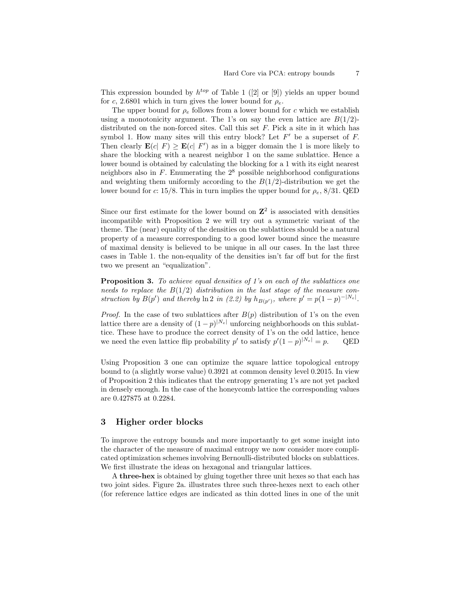This expression bounded by  $h^{top}$  of Table 1 ([2] or [9]) yields an upper bound for c, 2.6801 which in turn gives the lower bound for  $\rho_e$ .

The upper bound for  $\rho_e$  follows from a lower bound for c which we establish using a monotonicity argument. The 1's on say the even lattice are  $B(1/2)$ distributed on the non-forced sites. Call this set F. Pick a site in it which has symbol 1. How many sites will this entry block? Let  $F'$  be a superset of  $F$ . Then clearly  $\mathbf{E}(c|F) \geq \mathbf{E}(c|F')$  as in a bigger domain the 1 is more likely to share the blocking with a nearest neighbor 1 on the same sublattice. Hence a lower bound is obtained by calculating the blocking for a 1 with its eight nearest neighbors also in  $F$ . Enumerating the  $2<sup>8</sup>$  possible neighborhood configurations and weighting them uniformly according to the  $B(1/2)$ -distribution we get the lower bound for c: 15/8. This in turn implies the upper bound for  $\rho_e$ , 8/31. QED

Since our first estimate for the lower bound on  $\mathbb{Z}^2$  is associated with densities incompatible with Proposition 2 we will try out a symmetric variant of the theme. The (near) equality of the densities on the sublattices should be a natural property of a measure corresponding to a good lower bound since the measure of maximal density is believed to be unique in all our cases. In the last three cases in Table 1. the non-equality of the densities isn't far off but for the first two we present an "equalization".

**Proposition 3.** To achieve equal densities of 1's on each of the sublattices one needs to replace the  $B(1/2)$  distribution in the last stage of the measure construction by  $B(p')$  and thereby  $\ln 2$  in (2.2) by  $h_{B(p')}$ , where  $p' = p(1-p)^{-|N_e|}$ .

*Proof.* In the case of two sublattices after  $B(p)$  distribution of 1's on the even lattice there are a density of  $(1-p)^{|N_e|}$  unforcing neighborhoods on this sublattice. These have to produce the correct density of 1's on the odd lattice, hence we need the even lattice flip probability  $p'$  to satisfy  $p'(1-p)^{|N_e|} = p$ . QED

Using Proposition 3 one can optimize the square lattice topological entropy bound to (a slightly worse value) 0.3921 at common density level 0.2015. In view of Proposition 2 this indicates that the entropy generating 1's are not yet packed in densely enough. In the case of the honeycomb lattice the corresponding values are 0.427875 at 0.2284.

### 3 Higher order blocks

To improve the entropy bounds and more importantly to get some insight into the character of the measure of maximal entropy we now consider more complicated optimization schemes involving Bernoulli-distributed blocks on sublattices. We first illustrate the ideas on hexagonal and triangular lattices.

A three-hex is obtained by gluing together three unit hexes so that each has two joint sides. Figure 2a. illustrates three such three-hexes next to each other (for reference lattice edges are indicated as thin dotted lines in one of the unit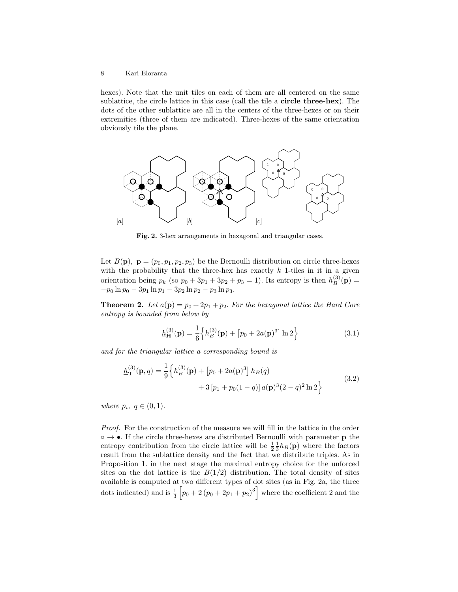hexes). Note that the unit tiles on each of them are all centered on the same sublattice, the circle lattice in this case (call the tile a circle three-hex). The dots of the other sublattice are all in the centers of the three-hexes or on their extremities (three of them are indicated). Three-hexes of the same orientation obviously tile the plane.



Fig. 2. 3-hex arrangements in hexagonal and triangular cases.

Let  $B(\mathbf{p}), \ \mathbf{p} = (p_0, p_1, p_2, p_3)$  be the Bernoulli distribution on circle three-hexes with the probability that the three-hex has exactly  $k$  1-tiles in it in a given orientation being  $p_k$  (so  $p_0 + 3p_1 + 3p_2 + p_3 = 1$ ). Its entropy is then  $h_B^{(3)}(\mathbf{p}) =$  $-p_0 \ln p_0 - 3p_1 \ln p_1 - 3p_2 \ln p_2 - p_3 \ln p_3.$ 

**Theorem 2.** Let  $a(\mathbf{p}) = p_0 + 2p_1 + p_2$ . For the hexagonal lattice the Hard Core entropy is bounded from below by

$$
\underline{h}_{\mathbf{H}}^{(3)}(\mathbf{p}) = \frac{1}{6} \left\{ h_B^{(3)}(\mathbf{p}) + \left[ p_0 + 2a(\mathbf{p})^3 \right] \ln 2 \right\}
$$
 (3.1)

and for the triangular lattice a corresponding bound is

$$
\underline{h}_{\mathbf{T}}^{(3)}(\mathbf{p},q) = \frac{1}{9} \left\{ h_B^{(3)}(\mathbf{p}) + \left[ p_0 + 2a(\mathbf{p})^3 \right] h_B(q) + 3 \left[ p_1 + p_0(1-q) \right] a(\mathbf{p})^3 (2-q)^2 \ln 2 \right\}
$$
\n(3.2)

where  $p_i, q \in (0,1)$ .

Proof. For the construction of the measure we will fill in the lattice in the order  $\circ \rightarrow \bullet$ . If the circle three-hexes are distributed Bernoulli with parameter **p** the entropy contribution from the circle lattice will be  $\frac{1}{2} \frac{1}{3} h_B(\mathbf{p})$  where the factors result from the sublattice density and the fact that we distribute triples. As in Proposition 1. in the next stage the maximal entropy choice for the unforced sites on the dot lattice is the  $B(1/2)$  distribution. The total density of sites available is computed at two different types of dot sites (as in Fig. 2a, the three dots indicated) and is  $\frac{1}{3} \left[ p_0 + 2 (p_0 + 2p_1 + p_2)^3 \right]$  where the coefficient 2 and the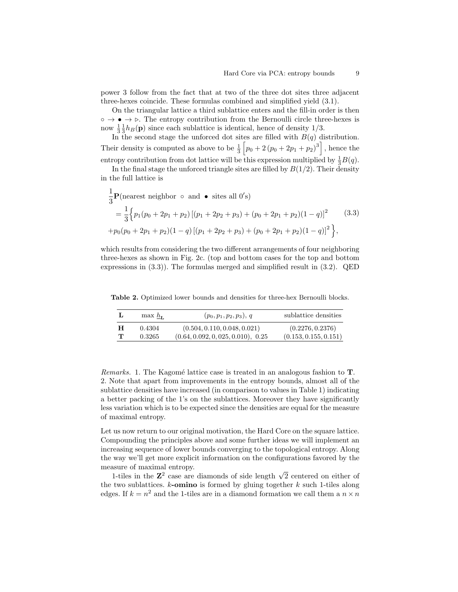power 3 follow from the fact that at two of the three dot sites three adjacent three-hexes coincide. These formulas combined and simplified yield (3.1).

On the triangular lattice a third sublattice enters and the fill-in order is then  $\circ \rightarrow \bullet \rightarrow \circ$ . The entropy contribution from the Bernoulli circle three-hexes is now  $\frac{1}{3} \frac{1}{3} h_B(\mathbf{p})$  since each sublattice is identical, hence of density 1/3.

In the second stage the unforced dot sites are filled with  $B(q)$  distribution. Their density is computed as above to be  $\frac{1}{3} \left[ p_0 + 2 (p_0 + 2p_1 + p_2)^3 \right]$ , hence the entropy contribution from dot lattice will be this expression multiplied by  $\frac{1}{3}B(q)$ .

In the final stage the unforced triangle sites are filled by  $B(1/2)$ . Their density in the full lattice is

$$
\frac{1}{3}\mathbf{P}(\text{nearest neighbor } \circ \text{ and } \bullet \text{ sites all } 0's)
$$
\n
$$
= \frac{1}{3} \Big\{ p_1(p_0 + 2p_1 + p_2) \left[ (p_1 + 2p_2 + p_3) + (p_0 + 2p_1 + p_2)(1 - q) \right]^2 \qquad (3.3)
$$
\n
$$
+ p_0(p_0 + 2p_1 + p_2)(1 - q) \left[ (p_1 + 2p_2 + p_3) + (p_0 + 2p_1 + p_2)(1 - q) \right]^2 \Big\},
$$

which results from considering the two different arrangements of four neighboring three-hexes as shown in Fig. 2c. (top and bottom cases for the top and bottom expressions in (3.3)). The formulas merged and simplified result in (3.2). QED

Table 2. Optimized lower bounds and densities for three-hex Bernoulli blocks.

| L            | max $h_{\text{L}}$ | $(p_0, p_1, p_2, p_3), q$          | sublattice densities  |
|--------------|--------------------|------------------------------------|-----------------------|
| H            | 0.4304             | (0.504, 0.110, 0.048, 0.021)       | (0.2276, 0.2376)      |
| $\mathbf{T}$ | 0.3265             | (0.64, 0.092, 0, 025, 0.010), 0.25 | (0.153, 0.155, 0.151) |

*Remarks.* 1. The Kagomé lattice case is treated in an analogous fashion to  $T$ . 2. Note that apart from improvements in the entropy bounds, almost all of the sublattice densities have increased (in comparison to values in Table 1) indicating a better packing of the 1's on the sublattices. Moreover they have significantly less variation which is to be expected since the densities are equal for the measure of maximal entropy.

Let us now return to our original motivation, the Hard Core on the square lattice. Compounding the principles above and some further ideas we will implement an increasing sequence of lower bounds converging to the topological entropy. Along the way we'll get more explicit information on the configurations favored by the measure of maximal entropy.

1-tiles in the  $\mathbb{Z}^2$  case are diamonds of side length  $\sqrt{2}$  centered on either of the two sublattices.  $k$ -omino is formed by gluing together  $k$  such 1-tiles along edges. If  $k = n^2$  and the 1-tiles are in a diamond formation we call them a  $n \times n$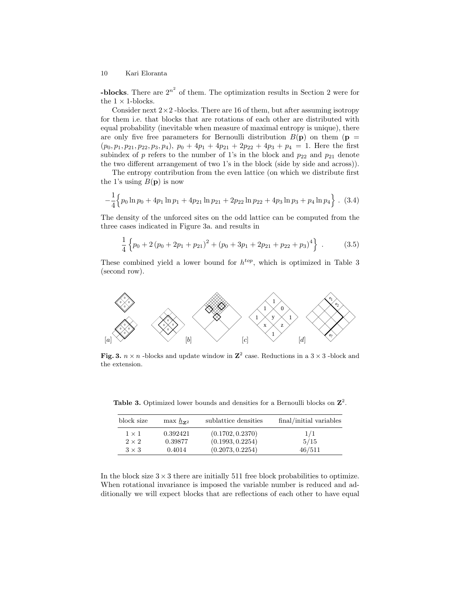**-blocks**. There are  $2^{n^2}$  of them. The optimization results in Section 2 were for the  $1 \times 1$ -blocks.

Consider next  $2 \times 2$ -blocks. There are 16 of them, but after assuming isotropy for them i.e. that blocks that are rotations of each other are distributed with equal probability (inevitable when measure of maximal entropy is unique), there are only five free parameters for Bernoulli distribution  $B(\mathbf{p})$  on them ( $\mathbf{p} =$  $(p_0, p_1, p_{21}, p_{22}, p_3, p_4), p_0 + 4p_1 + 4p_{21} + 2p_{22} + 4p_3 + p_4 = 1.$  Here the first subindex of p refers to the number of 1's in the block and  $p_{22}$  and  $p_{21}$  denote the two different arrangement of two 1's in the block (side by side and across)).

The entropy contribution from the even lattice (on which we distribute first the 1's using  $B(p)$  is now

$$
-\frac{1}{4}\Big\{p_0\ln p_0+4p_1\ln p_1+4p_{21}\ln p_{21}+2p_{22}\ln p_{22}+4p_3\ln p_3+p_4\ln p_4\Big\}.\ (3.4)
$$

The density of the unforced sites on the odd lattice can be computed from the three cases indicated in Figure 3a. and results in

$$
\frac{1}{4} \left\{ p_0 + 2 \left( p_0 + 2 p_1 + p_{21} \right)^2 + \left( p_0 + 3 p_1 + 2 p_{21} + p_{22} + p_3 \right)^4 \right\} \ . \tag{3.5}
$$

These combined yield a lower bound for  $h^{top}$ , which is optimized in Table 3 (second row).



Fig. 3.  $n \times n$  -blocks and update window in  $\mathbb{Z}^2$  case. Reductions in a 3  $\times$  3 -block and the extension.

| block size   | $\max \frac{h}{2^2}$ | sublattice densities | final/initial variables |
|--------------|----------------------|----------------------|-------------------------|
| $1 \times 1$ | 0.392421             | (0.1702, 0.2370)     | 1/1                     |
| $2 \times 2$ | 0.39877              | (0.1993, 0.2254)     | 5/15                    |
| $3 \times 3$ | 0.4014               | (0.2073, 0.2254)     | 46/511                  |

Table 3. Optimized lower bounds and densities for a Bernoulli blocks on  $\mathbb{Z}^2$ .

In the block size  $3 \times 3$  there are initially 511 free block probabilities to optimize. When rotational invariance is imposed the variable number is reduced and additionally we will expect blocks that are reflections of each other to have equal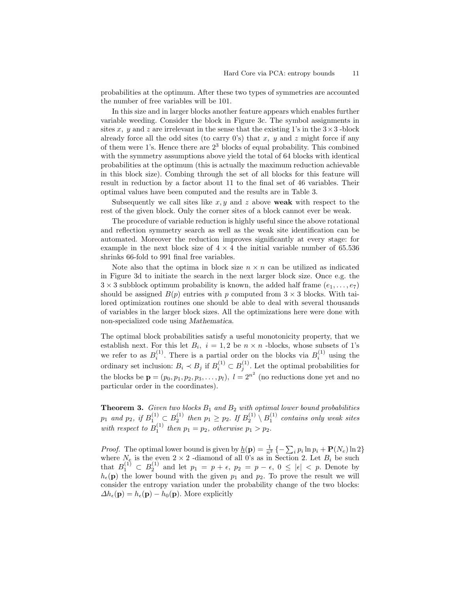probabilities at the optimum. After these two types of symmetries are accounted the number of free variables will be 101.

In this size and in larger blocks another feature appears which enables further variable weeding. Consider the block in Figure 3c. The symbol assignments in sites x, y and z are irrelevant in the sense that the existing 1's in the  $3 \times 3$ -block already force all the odd sites (to carry 0's) that x, y and z might force if any of them were 1's. Hence there are  $2<sup>3</sup>$  blocks of equal probability. This combined with the symmetry assumptions above yield the total of 64 blocks with identical probabilities at the optimum (this is actually the maximum reduction achievable in this block size). Combing through the set of all blocks for this feature will result in reduction by a factor about 11 to the final set of 46 variables. Their optimal values have been computed and the results are in Table 3.

Subsequently we call sites like  $x, y$  and z above weak with respect to the rest of the given block. Only the corner sites of a block cannot ever be weak.

The procedure of variable reduction is highly useful since the above rotational and reflection symmetry search as well as the weak site identification can be automated. Moreover the reduction improves significantly at every stage: for example in the next block size of  $4 \times 4$  the initial variable number of 65.536 shrinks 66-fold to 991 final free variables.

Note also that the optima in block size  $n \times n$  can be utilized as indicated in Figure 3d to initiate the search in the next larger block size. Once e.g. the  $3 \times 3$  subblock optimum probability is known, the added half frame  $(e_1, \ldots, e_7)$ should be assigned  $B(p)$  entries with p computed from  $3 \times 3$  blocks. With tailored optimization routines one should be able to deal with several thousands of variables in the larger block sizes. All the optimizations here were done with non-specialized code using Mathematica.

The optimal block probabilities satisfy a useful monotonicity property, that we establish next. For this let  $B_i$ ,  $i = 1, 2$  be  $n \times n$  -blocks, whose subsets of 1's we refer to as  $B_i^{(1)}$ . There is a partial order on the blocks via  $B_i^{(1)}$  using the  $i$ . There is a partial order on the blocks via  $D_i$ ordinary set inclusion:  $B_i \prec B_j$  if  $B_i^{(1)} \subset B_j^{(1)}$ . Let the optimal probabilities for the blocks be  $\mathbf{p} = (p_0, p_1, p_2, p_3, \dots, p_l)$ ,  $l = 2^{n^2}$  (no reductions done yet and no particular order in the coordinates).

**Theorem 3.** Given two blocks  $B_1$  and  $B_2$  with optimal lower bound probabilities  $p_1$  and  $p_2$ , if  $B_1^{(1)} \subset B_2^{(1)}$  then  $p_1 \geq p_2$ . If  $B_2^{(1)} \setminus B_1^{(1)}$  contains only weak sites with respect to  $B_1^{(1)}$  then  $p_1 = p_2$ , otherwise  $p_1 > p_2$ .

*Proof.* The optimal lower bound is given by  $\underline{h}(\mathbf{p}) = \frac{1}{n^2} \{-\sum_i p_i \ln p_i + \mathbf{P}(N_e) \ln 2\}$ where  $N_e$  is the even  $2 \times 2$  -diamond of all 0's as in Section 2. Let  $B_i$  be such that  $B_1^{(1)} \subset B_2^{(1)}$  and let  $p_1 = p + \epsilon$ ,  $p_2 = p - \epsilon$ ,  $0 \leq |\epsilon| < p$ . Denote by  $h_{\epsilon}(\mathbf{p})$  the lower bound with the given  $p_1$  and  $p_2$ . To prove the result we will consider the entropy variation under the probability change of the two blocks:  $\Delta h_{\epsilon}(\mathbf{p}) = h_{\epsilon}(\mathbf{p}) - h_0(\mathbf{p})$ . More explicitly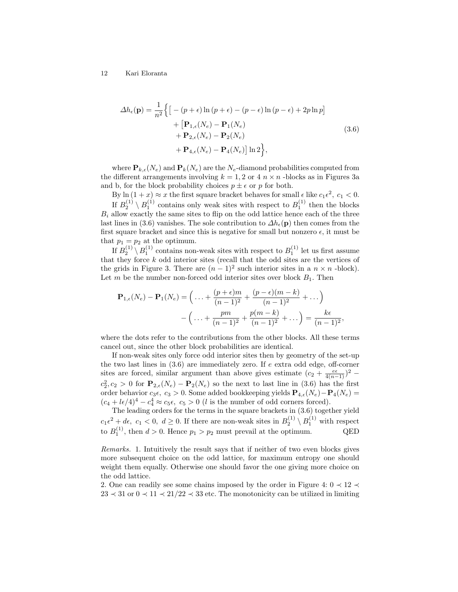$$
\Delta h_{\epsilon}(\mathbf{p}) = \frac{1}{n^2} \Biggl\{ \Bigl[ -(p+\epsilon)\ln(p+\epsilon) - (p-\epsilon)\ln(p-\epsilon) + 2p\ln p \Bigr] + \Bigl[ \mathbf{P}_{1,\epsilon}(N_e) - \mathbf{P}_1(N_e) + \mathbf{P}_{2,\epsilon}(N_e) - \mathbf{P}_2(N_e) + \mathbf{P}_{4,\epsilon}(N_e) - \mathbf{P}_4(N_e) \Bigr] \ln 2 \Biggr\},
$$
\n(3.6)

where  $\mathbf{P}_{k,\epsilon}(N_e)$  and  $\mathbf{P}_k(N_e)$  are the  $N_e$ -diamond probabilities computed from the different arrangements involving  $k = 1, 2$  or  $4 n \times n$  -blocks as in Figures 3a and b, for the block probability choices  $p\pm\epsilon$  or  $p$  for both.

By  $\ln(1+x) \approx x$  the first square bracket behaves for small  $\epsilon$  like  $c_1 \epsilon^2$ ,  $c_1 < 0$ . If  $B_2^{(1)} \setminus B_1^{(1)}$  contains only weak sites with respect to  $B_1^{(1)}$  then the blocks  $B_i$  allow exactly the same sites to flip on the odd lattice hence each of the three last lines in (3.6) vanishes. The sole contribution to  $\Delta h_{\epsilon}(\mathbf{p})$  then comes from the first square bracket and since this is negative for small but nonzero  $\epsilon$ , it must be that  $p_1 = p_2$  at the optimum.

If  $B_2^{(1)} \setminus B_1^{(1)}$  contains non-weak sites with respect to  $B_1^{(1)}$  let us first assume that they force  $k$  odd interior sites (recall that the odd sites are the vertices of the grids in Figure 3. There are  $(n-1)^2$  such interior sites in a  $n \times n$  -block). Let m be the number non-forced odd interior sites over block  $B_1$ . Then

$$
\mathbf{P}_{1,\epsilon}(N_e) - \mathbf{P}_1(N_e) = \left( \dots + \frac{(p+\epsilon)m}{(n-1)^2} + \frac{(p-\epsilon)(m-k)}{(n-1)^2} + \dots \right) - \left( \dots + \frac{pm}{(n-1)^2} + \frac{p(m-k)}{(n-1)^2} + \dots \right) = \frac{k\epsilon}{(n-1)^2},
$$

where the dots refer to the contributions from the other blocks. All these terms cancel out, since the other block probabilities are identical.

If non-weak sites only force odd interior sites then by geometry of the set-up the two last lines in (3.6) are immediately zero. If e extra odd edge, off-corner sites are forced, similar argument than above gives estimate  $(c_2 + \frac{e\epsilon}{4(n-1)})^2$  –  $c_2^2, c_2 > 0$  for  $\mathbf{P}_{2,\epsilon}(N_e) - \mathbf{P}_2(N_e)$  so the next to last line in (3.6) has the first order behavior  $c_3\epsilon$ ,  $c_3 > 0$ . Some added bookkeeping yields  $\mathbf{P}_{4,\epsilon}(N_e) - \mathbf{P}_4(N_e) =$  $(c_4 + l\epsilon/4)^4 - c_4^4 \approx c_5\epsilon$ ,  $c_5 > 0$  (*l* is the number of odd corners forced).

The leading orders for the terms in the square brackets in (3.6) together yield  $c_1\epsilon^2 + d\epsilon$ ,  $c_1 < 0$ ,  $d \ge 0$ . If there are non-weak sites in  $B_2^{(1)} \setminus B_1^{(1)}$  with respect to  $B_1^{(1)}$ , then  $d > 0$ . Hence  $p_1 > p_2$  must prevail at the optimum. QED

Remarks. 1. Intuitively the result says that if neither of two even blocks gives more subsequent choice on the odd lattice, for maximum entropy one should weight them equally. Otherwise one should favor the one giving more choice on the odd lattice.

2. One can readily see some chains imposed by the order in Figure 4:  $0 \prec 12 \prec$  $23 \prec 31$  or  $0 \prec 11 \prec 21/22 \prec 33$  etc. The monotonicity can be utilized in limiting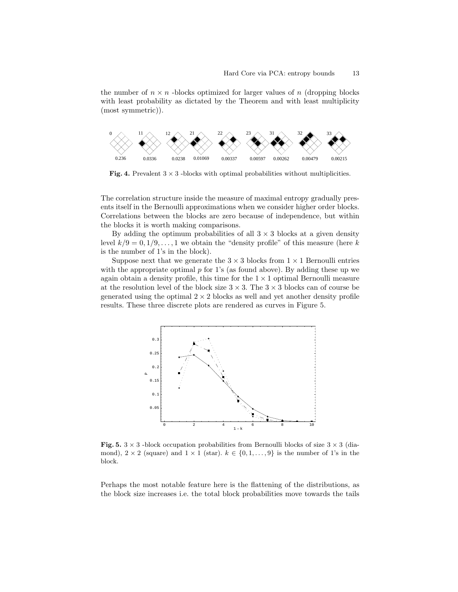the number of  $n \times n$  -blocks optimized for larger values of n (dropping blocks with least probability as dictated by the Theorem and with least multiplicity (most symmetric)).



**Fig. 4.** Prevalent  $3 \times 3$  -blocks with optimal probabilities without multiplicities.

The correlation structure inside the measure of maximal entropy gradually presents itself in the Bernoulli approximations when we consider higher order blocks. Correlations between the blocks are zero because of independence, but within the blocks it is worth making comparisons.

By adding the optimum probabilities of all  $3 \times 3$  blocks at a given density level  $k/9 = 0, 1/9, \ldots, 1$  we obtain the "density profile" of this measure (here k is the number of 1's in the block).

Suppose next that we generate the  $3 \times 3$  blocks from  $1 \times 1$  Bernoulli entries with the appropriate optimal  $p$  for 1's (as found above). By adding these up we again obtain a density profile, this time for the  $1 \times 1$  optimal Bernoulli measure at the resolution level of the block size  $3 \times 3$ . The  $3 \times 3$  blocks can of course be generated using the optimal  $2 \times 2$  blocks as well and yet another density profile results. These three discrete plots are rendered as curves in Figure 5.



Fig. 5.  $3 \times 3$  -block occupation probabilities from Bernoulli blocks of size  $3 \times 3$  (diamond),  $2 \times 2$  (square) and  $1 \times 1$  (star).  $k \in \{0, 1, \ldots, 9\}$  is the number of 1's in the block.

Perhaps the most notable feature here is the flattening of the distributions, as the block size increases i.e. the total block probabilities move towards the tails